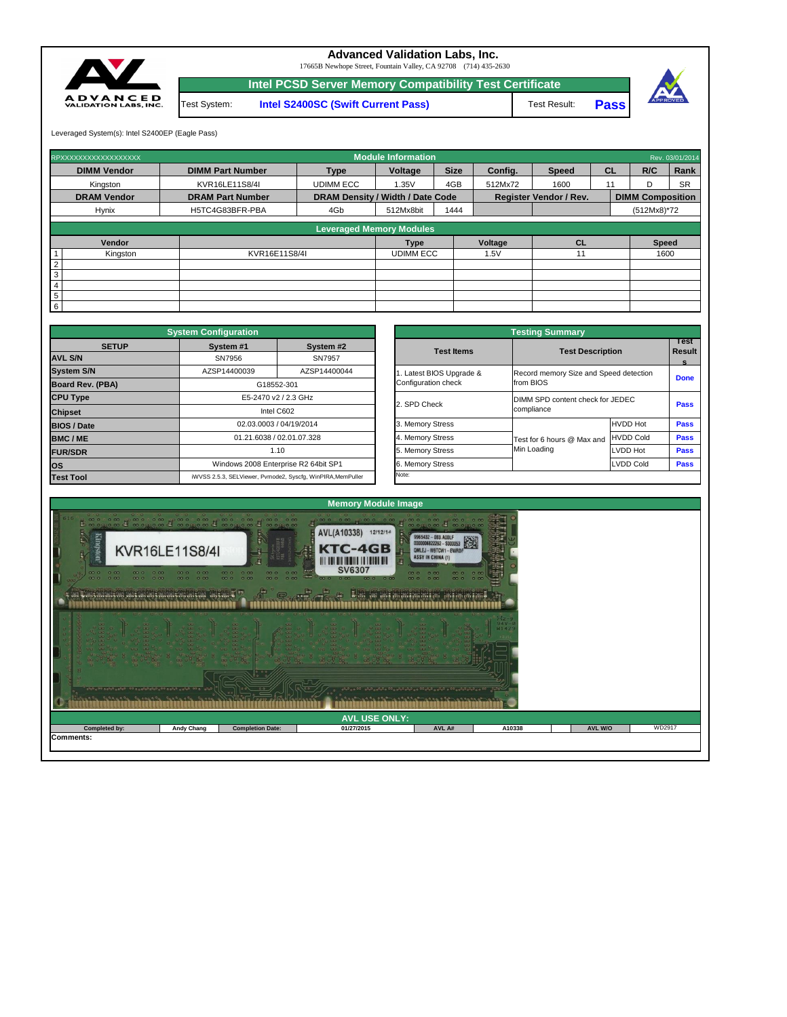| 1월 1일 1월 1일 1월 1일 1월 1일 1월 1일 1월 1일 1월 1 <u>월 1일 1월 1일 1월 1일 1월 1일 1월 1일 1월 1일 1</u> 월 1일 1월 1일 1월 1일 1월 1일 1월 1일 1월 1일<br>1월 1일 1월 1일 1월 1일 1월 1일 1월 1일 1월 1일 1월 1일 1월 1일 1월 1일 1월 1일 1월 1일 1월 1일 1월 1일 1월 1일 1월 1일 1월 1일 1월 1일 1월 1일<br>0.0<br>್ದು ರ <sub>ೇ</sub> ಶಿಂದ ರೂ. ರಿಲ್ವರ್ ರಿಂದಿ ರಿಂದಿ ರೀತಿ ರಿಂದಿ ರಿಂದಿ ರಿಂದಿ ರಿಂದಿ ರಿಂದಿ ರೂ. ರಿಂದಿ ರಿಂದಿ ರಿಂದಿ ರಿಂದಿ ರಿಂದಿ ಪ್ರ<br><u>100990 10990990 90990990 10990990 90990 9100101010 10090 0099</u> |                   |                         |            |        |        |                |        |  |  |
|---------------------------------------------------------------------------------------------------------------------------------------------------------------------------------------------------------------------------------------------------------------------------------------------------------------------------------------------------------------------------------------------------------------------------------------------------|-------------------|-------------------------|------------|--------|--------|----------------|--------|--|--|
| <b>AVL USE ONLY:</b>                                                                                                                                                                                                                                                                                                                                                                                                                              |                   |                         |            |        |        |                |        |  |  |
| Completed by:                                                                                                                                                                                                                                                                                                                                                                                                                                     | <b>Andy Chang</b> | <b>Completion Date:</b> | 01/27/2015 | AVL A# | A10338 | <b>AVL W/O</b> | WD2917 |  |  |
| <b>Comments:</b>                                                                                                                                                                                                                                                                                                                                                                                                                                  |                   |                         |            |        |        |                |        |  |  |



|                                | <b>System Configuration</b> |                                                             |                       | <b>Testing Summary</b>     |                                                     |             |  |  |
|--------------------------------|-----------------------------|-------------------------------------------------------------|-----------------------|----------------------------|-----------------------------------------------------|-------------|--|--|
| <b>SETUP</b><br><b>AVL S/N</b> | System #1<br>SN7956         | System #2<br>SN7957                                         | <b>Test Items</b>     |                            | <b>Test Description</b><br>Resul                    |             |  |  |
| <b>System S/N</b>              | AZSP14400039                | AZSP14400044                                                | Latest BIOS Upgrade & |                            | Record memory Size and Speed detection<br>from BIOS |             |  |  |
| <b>Board Rev. (PBA)</b>        |                             | G18552-301                                                  | Configuration check   |                            |                                                     |             |  |  |
| <b>CPU Type</b>                |                             | E5-2470 v2 / 2.3 GHz                                        |                       |                            | DIMM SPD content check for JEDEC                    |             |  |  |
| <b>Chipset</b>                 |                             | Intel C602                                                  | 2. SPD Check          | compliance                 |                                                     |             |  |  |
| <b>BIOS / Date</b>             |                             | 02.03.0003 / 04/19/2014                                     | 3. Memory Stress      |                            | HVDD Hot                                            | <b>Pass</b> |  |  |
| <b>BMC/ME</b>                  |                             | 01.21.6038 / 02.01.07.328                                   | 4. Memory Stress      | Test for 6 hours @ Max and | <b>HVDD Cold</b>                                    | <b>Pass</b> |  |  |
| <b>FUR/SDR</b>                 |                             | 1.10                                                        |                       | Min Loading                | <b>LVDD Hot</b>                                     | <b>Pass</b> |  |  |
| <b>OS</b>                      |                             | Windows 2008 Enterprise R2 64bit SP1                        | 6. Memory Stress      |                            | LVDD Cold                                           | <b>Pass</b> |  |  |
| <b>Test Tool</b>               |                             | iWVSS 2.5.3, SELViewer, Pvmode2, Syscfg, WinPIRA, MemPuller | Note:                 |                            |                                                     |             |  |  |

| <b>Testing Summary</b>                          |                                                     |                            |             |  |  |  |  |  |
|-------------------------------------------------|-----------------------------------------------------|----------------------------|-------------|--|--|--|--|--|
| <b>Test Items</b>                               | <b>Test Description</b>                             | Test<br><b>Result</b><br>s |             |  |  |  |  |  |
| 1. Latest BIOS Upgrade &<br>Configuration check | Record memory Size and Speed detection<br>from BIOS | <b>Done</b>                |             |  |  |  |  |  |
| 2. SPD Check                                    | DIMM SPD content check for JEDEC<br>compliance      | <b>Pass</b>                |             |  |  |  |  |  |
| 3. Memory Stress                                |                                                     | <b>HVDD Hot</b>            | <b>Pass</b> |  |  |  |  |  |
| 4. Memory Stress                                | Test for 6 hours @ Max and                          | <b>HVDD Cold</b>           | <b>Pass</b> |  |  |  |  |  |
| 5. Memory Stress                                | Min Loading                                         | LVDD Hot                   | <b>Pass</b> |  |  |  |  |  |
| 6. Memory Stress                                |                                                     | <b>LVDD Cold</b>           | <b>Pass</b> |  |  |  |  |  |
| Note:                                           |                                                     |                            |             |  |  |  |  |  |

|                | RPXXXXXXXXXXXXXXXXXX            |                         |                                                                          | <b>Module Information</b> |             |                         |           |    |                         | Rev. 03/01/2014 |
|----------------|---------------------------------|-------------------------|--------------------------------------------------------------------------|---------------------------|-------------|-------------------------|-----------|----|-------------------------|-----------------|
|                | <b>DIMM Vendor</b>              | <b>DIMM Part Number</b> | <b>Type</b>                                                              | <b>Voltage</b>            | <b>Size</b> | Config.<br><b>Speed</b> |           | CL | R/C                     | Rank            |
|                | Kingston                        | KVR16LE11S8/4I          | <b>UDIMM ECC</b>                                                         | 1.35V                     | 4GB         | 512Mx72                 | 1600      | 11 | D                       | <b>SR</b>       |
|                | <b>DRAM Vendor</b>              | <b>DRAM Part Number</b> | <b>DRAM Density / Width / Date Code</b><br><b>Register Vendor / Rev.</b> |                           |             |                         |           |    | <b>DIMM Composition</b> |                 |
|                | <b>Hynix</b>                    | H5TC4G83BFR-PBA         | 4Gb                                                                      | 512Mx8bit                 | 1444        |                         |           |    | $(512Mx8)*72$           |                 |
|                | <b>Leveraged Memory Modules</b> |                         |                                                                          |                           |             |                         |           |    |                         |                 |
|                |                                 |                         |                                                                          |                           |             |                         |           |    |                         |                 |
|                | Vendor                          |                         |                                                                          | Type                      |             | Voltage                 | <b>CL</b> |    | <b>Speed</b>            |                 |
|                | Kingston                        | KVR16E11S8/4I           |                                                                          | <b>UDIMM ECC</b>          |             | 1.5V                    |           |    | 1600                    |                 |
| $\overline{2}$ |                                 |                         |                                                                          |                           |             |                         |           |    |                         |                 |
| $\mathbf{3}$   |                                 |                         |                                                                          |                           |             |                         |           |    |                         |                 |
| $\overline{4}$ |                                 |                         |                                                                          |                           |             |                         |           |    |                         |                 |
| $\overline{5}$ |                                 |                         |                                                                          |                           |             |                         |           |    |                         |                 |
| 6              |                                 |                         |                                                                          |                           |             |                         |           |    |                         |                 |

**Pass**



17665B Newhope Street, Fountain Valley, CA 92708 (714) 435-2630

**Intel PCSD Server Memory Compatibility Test Certificate**

Test System: **Intel S2400SC (Swift Current Pass)** Test Result:

Leveraged System(s): Intel S2400EP (Eagle Pass)



## **Advanced Validation Labs, Inc.**